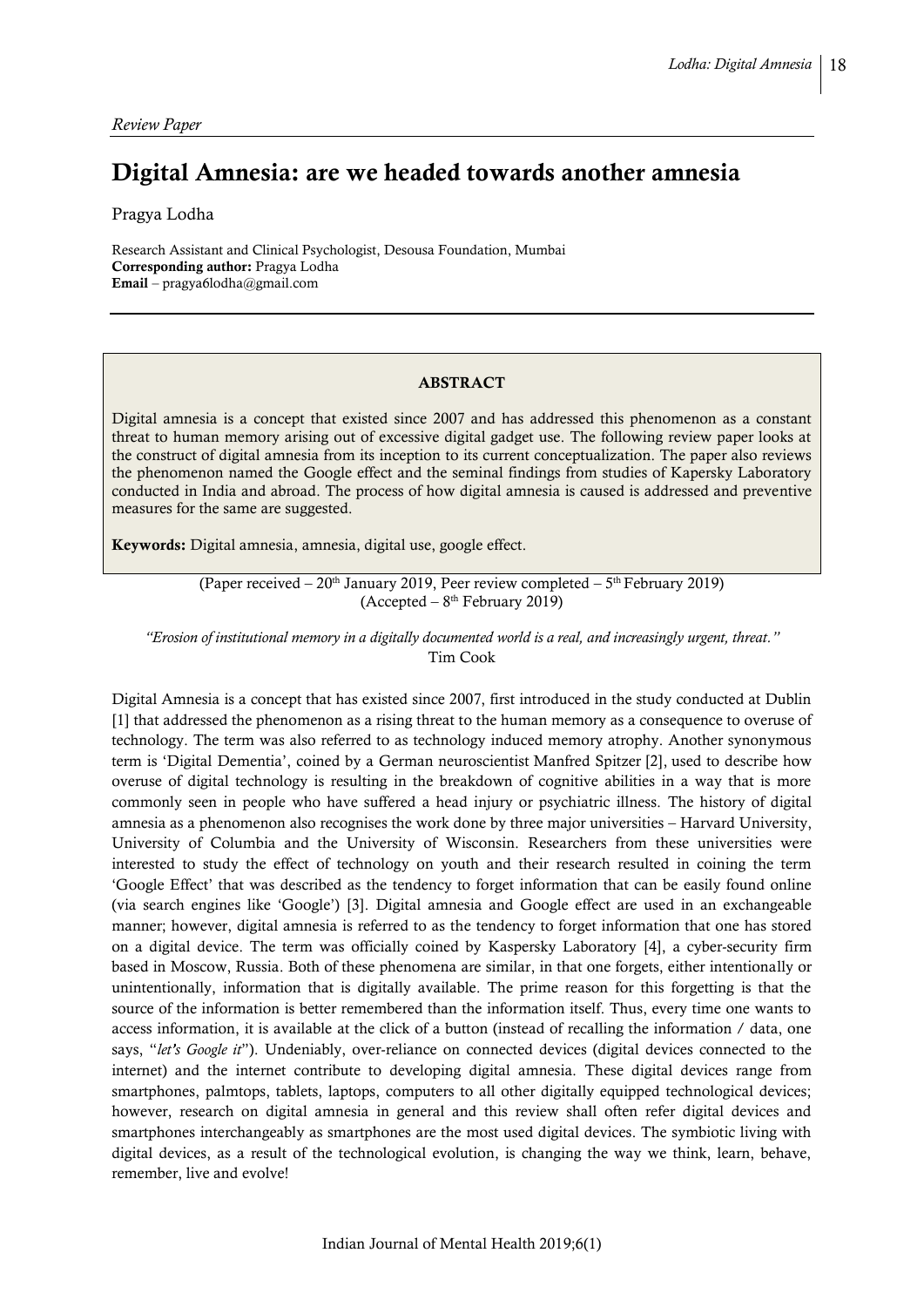# Digital Amnesia: are we headed towards another amnesia

Pragya Lodha

Research Assistant and Clinical Psychologist, Desousa Foundation, Mumbai Corresponding author: Pragya Lodha Email – pragya6lodha@gmail.com

### ABSTRACT

Digital amnesia is a concept that existed since 2007 and has addressed this phenomenon as a constant threat to human memory arising out of excessive digital gadget use. The following review paper looks at the construct of digital amnesia from its inception to its current conceptualization. The paper also reviews the phenomenon named the Google effect and the seminal findings from studies of Kapersky Laboratory conducted in India and abroad. The process of how digital amnesia is caused is addressed and preventive measures for the same are suggested.

Keywords: Digital amnesia, amnesia, digital use, google effect.

(Paper received  $-20<sup>th</sup>$  January 2019, Peer review completed  $-5<sup>th</sup>$  February 2019) (Accepted – 8 th February 2019)

*"Erosion of institutional memory in a digitally documented world is a real, and increasingly urgent, threat."* Tim Cook

Digital Amnesia is a concept that has existed since 2007, first introduced in the study conducted at Dublin [1] that addressed the phenomenon as a rising threat to the human memory as a consequence to overuse of technology. The term was also referred to as technology induced memory atrophy. Another synonymous term is 'Digital Dementia', coined by a German neuroscientist Manfred Spitzer [2], used to describe how overuse of digital technology is resulting in the breakdown of cognitive abilities in a way that is more commonly seen in people who have suffered a head injury or psychiatric illness. The history of digital amnesia as a phenomenon also recognises the work done by three major universities – Harvard University, University of Columbia and the University of Wisconsin. Researchers from these universities were interested to study the effect of technology on youth and their research resulted in coining the term 'Google Effect' that was described as the tendency to forget information that can be easily found online (via search engines like 'Google') [3]. Digital amnesia and Google effect are used in an exchangeable manner; however, digital amnesia is referred to as the tendency to forget information that one has stored on a digital device. The term was officially coined by Kaspersky Laboratory [4], a cyber-security firm based in Moscow, Russia. Both of these phenomena are similar, in that one forgets, either intentionally or unintentionally, information that is digitally available. The prime reason for this forgetting is that the source of the information is better remembered than the information itself. Thus, every time one wants to access information, it is available at the click of a button (instead of recalling the information / data, one says, "*let's Google it*"). Undeniably, over-reliance on connected devices (digital devices connected to the internet) and the internet contribute to developing digital amnesia. These digital devices range from smartphones, palmtops, tablets, laptops, computers to all other digitally equipped technological devices; however, research on digital amnesia in general and this review shall often refer digital devices and smartphones interchangeably as smartphones are the most used digital devices. The symbiotic living with digital devices, as a result of the technological evolution, is changing the way we think, learn, behave, remember, live and evolve!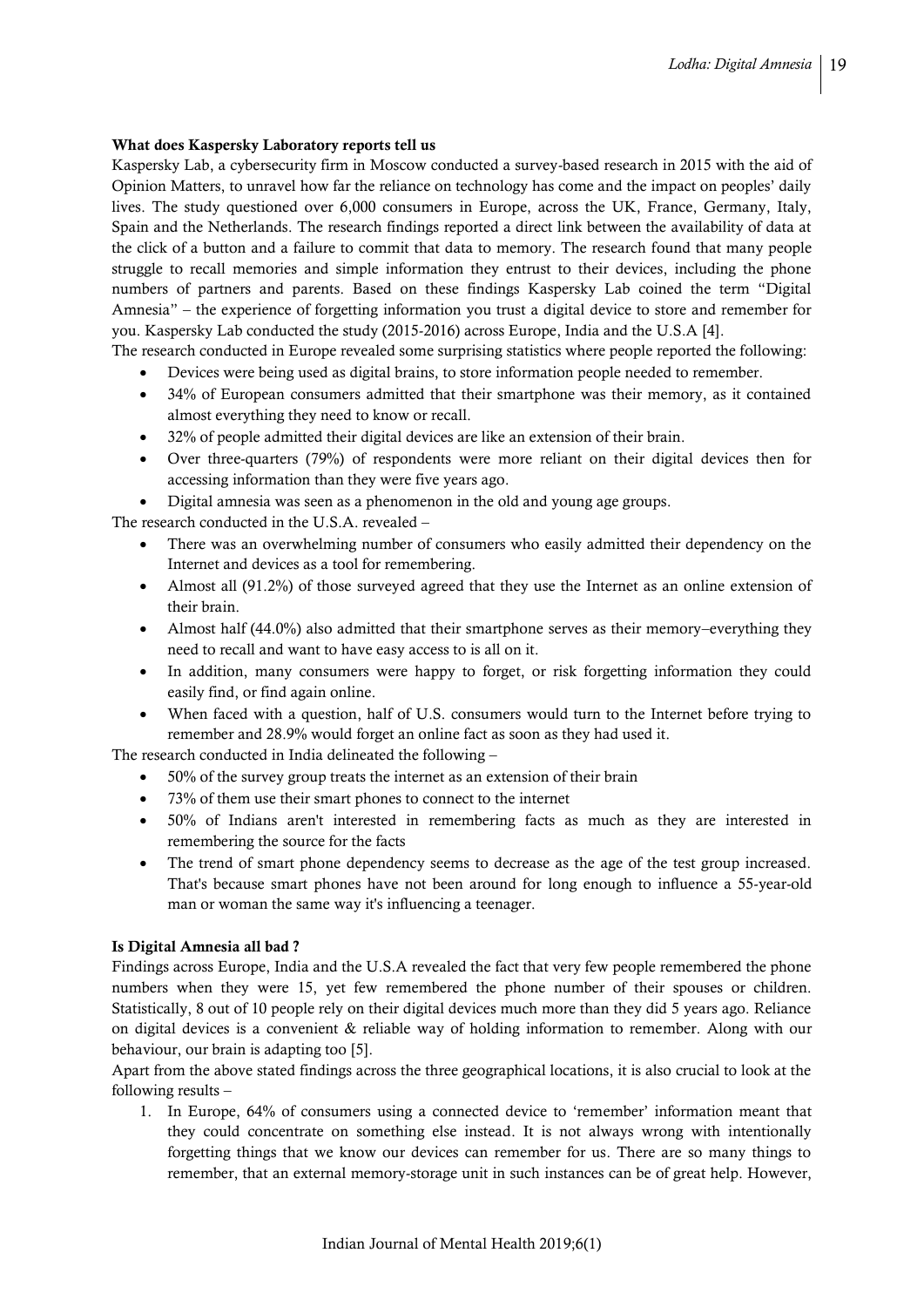### What does Kaspersky Laboratory reports tell us

Kaspersky Lab, a cybersecurity firm in Moscow conducted a survey-based research in 2015 with the aid of Opinion Matters, to unravel how far the reliance on technology has come and the impact on peoples' daily lives. The study questioned over 6,000 consumers in Europe, across the UK, France, Germany, Italy, Spain and the Netherlands. The research findings reported a direct link between the availability of data at the click of a button and a failure to commit that data to memory. The research found that many people struggle to recall memories and simple information they entrust to their devices, including the phone numbers of partners and parents. Based on these findings Kaspersky Lab coined the term "Digital Amnesia" – the experience of forgetting information you trust a digital device to store and remember for you. Kaspersky Lab conducted the study (2015-2016) across Europe, India and the U.S.A [4].

The research conducted in Europe revealed some surprising statistics where people reported the following:

- Devices were being used as digital brains, to store information people needed to remember.
- 34% of European consumers admitted that their smartphone was their memory, as it contained almost everything they need to know or recall.
- 32% of people admitted their digital devices are like an extension of their brain.
- Over three-quarters (79%) of respondents were more reliant on their digital devices then for accessing information than they were five years ago.
- Digital amnesia was seen as a phenomenon in the old and young age groups.

The research conducted in the U.S.A. revealed –

- There was an overwhelming number of consumers who easily admitted their dependency on the Internet and devices as a tool for remembering.
- Almost all (91.2%) of those surveyed agreed that they use the Internet as an online extension of their brain.
- Almost half (44.0%) also admitted that their smartphone serves as their memory–everything they need to recall and want to have easy access to is all on it.
- In addition, many consumers were happy to forget, or risk forgetting information they could easily find, or find again online.
- When faced with a question, half of U.S. consumers would turn to the Internet before trying to remember and 28.9% would forget an online fact as soon as they had used it.

The research conducted in India delineated the following –

- 50% of the survey group treats the internet as an extension of their brain
- 73% of them use their smart phones to connect to the internet
- 50% of Indians aren't interested in remembering facts as much as they are interested in remembering the source for the facts
- The trend of smart phone dependency seems to decrease as the age of the test group increased. That's because smart phones have not been around for long enough to influence a 55-year-old man or woman the same way it's influencing a teenager.

# Is Digital Amnesia all bad ?

Findings across Europe, India and the U.S.A revealed the fact that very few people remembered the phone numbers when they were 15, yet few remembered the phone number of their spouses or children. Statistically, 8 out of 10 people rely on their digital devices much more than they did 5 years ago. Reliance on digital devices is a convenient & reliable way of holding information to remember. Along with our behaviour, our brain is adapting too [5].

Apart from the above stated findings across the three geographical locations, it is also crucial to look at the following results –

1. In Europe, 64% of consumers using a connected device to 'remember' information meant that they could concentrate on something else instead. It is not always wrong with intentionally forgetting things that we know our devices can remember for us. There are so many things to remember, that an external memory-storage unit in such instances can be of great help. However,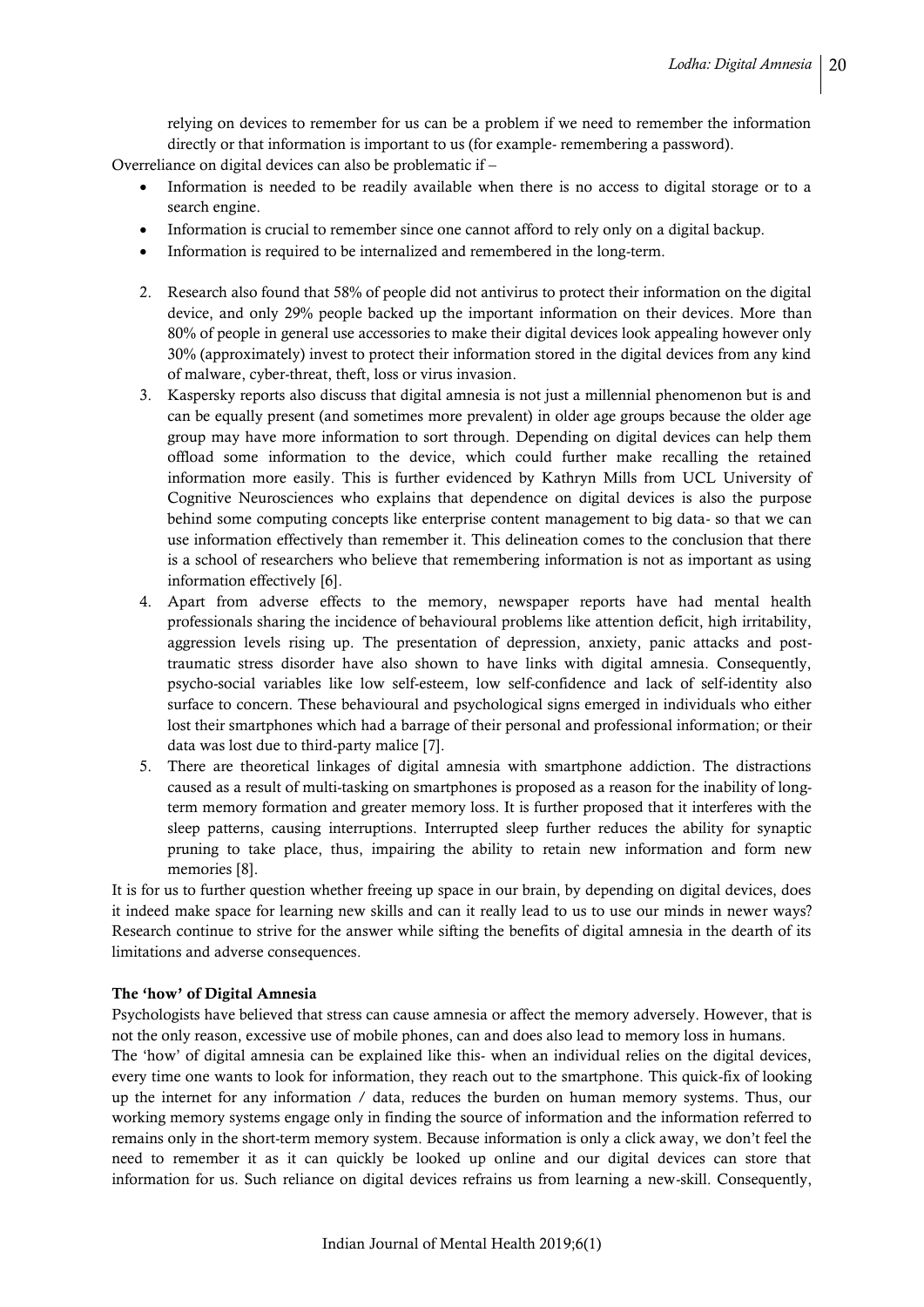relying on devices to remember for us can be a problem if we need to remember the information directly or that information is important to us (for example- remembering a password).

Overreliance on digital devices can also be problematic if –

- Information is needed to be readily available when there is no access to digital storage or to a search engine.
- Information is crucial to remember since one cannot afford to rely only on a digital backup.
- Information is required to be internalized and remembered in the long-term.
- 2. Research also found that 58% of people did not antivirus to protect their information on the digital device, and only 29% people backed up the important information on their devices. More than 80% of people in general use accessories to make their digital devices look appealing however only 30% (approximately) invest to protect their information stored in the digital devices from any kind of malware, cyber-threat, theft, loss or virus invasion.
- 3. Kaspersky reports also discuss that digital amnesia is not just a millennial phenomenon but is and can be equally present (and sometimes more prevalent) in older age groups because the older age group may have more information to sort through. Depending on digital devices can help them offload some information to the device, which could further make recalling the retained information more easily. This is further evidenced by Kathryn Mills from UCL University of Cognitive Neurosciences who explains that dependence on digital devices is also the purpose behind some computing concepts like enterprise content management to big data- so that we can use information effectively than remember it. This delineation comes to the conclusion that there is a school of researchers who believe that remembering information is not as important as using information effectively [6].
- 4. Apart from adverse effects to the memory, newspaper reports have had mental health professionals sharing the incidence of behavioural problems like attention deficit, high irritability, aggression levels rising up. The presentation of depression, anxiety, panic attacks and posttraumatic stress disorder have also shown to have links with digital amnesia. Consequently, psycho-social variables like low self-esteem, low self-confidence and lack of self-identity also surface to concern. These behavioural and psychological signs emerged in individuals who either lost their smartphones which had a barrage of their personal and professional information; or their data was lost due to third-party malice [7].
- 5. There are theoretical linkages of digital amnesia with smartphone addiction. The distractions caused as a result of multi-tasking on smartphones is proposed as a reason for the inability of longterm memory formation and greater memory loss. It is further proposed that it interferes with the sleep patterns, causing interruptions. Interrupted sleep further reduces the ability for synaptic pruning to take place, thus, impairing the ability to retain new information and form new memories [8].

It is for us to further question whether freeing up space in our brain, by depending on digital devices, does it indeed make space for learning new skills and can it really lead to us to use our minds in newer ways? Research continue to strive for the answer while sifting the benefits of digital amnesia in the dearth of its limitations and adverse consequences.

#### The 'how' of Digital Amnesia

Psychologists have believed that stress can cause amnesia or affect the memory adversely. However, that is not the only reason, excessive use of mobile phones, can and does also lead to memory loss in humans.

The 'how' of digital amnesia can be explained like this- when an individual relies on the digital devices, every time one wants to look for information, they reach out to the smartphone. This quick-fix of looking up the internet for any information / data, reduces the burden on human memory systems. Thus, our working memory systems engage only in finding the source of information and the information referred to remains only in the short-term memory system. Because information is only a click away, we don't feel the need to remember it as it can quickly be looked up online and our digital devices can store that information for us. Such reliance on digital devices refrains us from learning a new-skill. Consequently,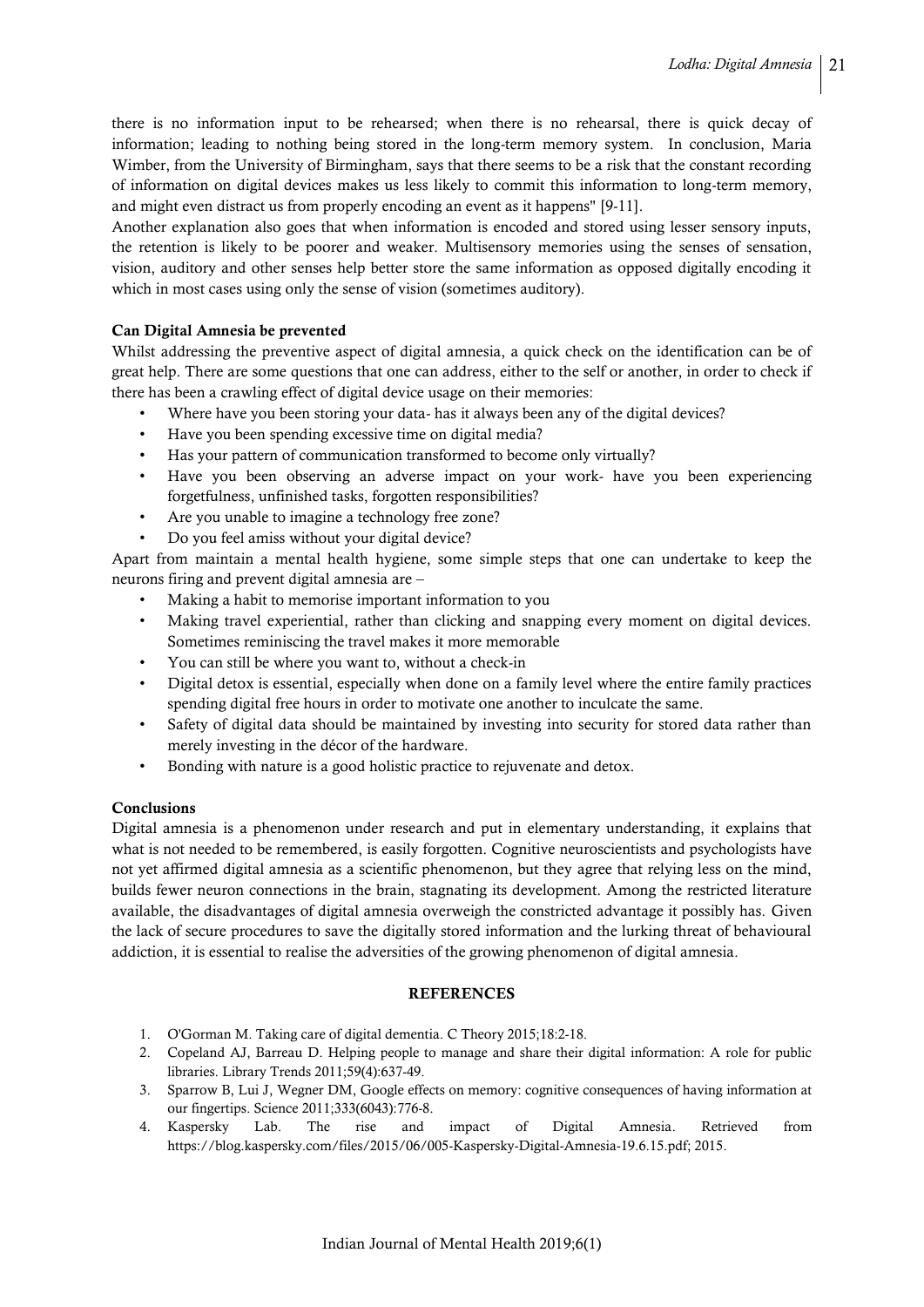there is no information input to be rehearsed; when there is no rehearsal, there is quick decay of information; leading to nothing being stored in the long-term memory system. In conclusion, Maria Wimber, from the University of Birmingham, says that there seems to be a risk that the constant recording of information on digital devices makes us less likely to commit this information to long-term memory, and might even distract us from properly encoding an event as it happens" [9-11].

Another explanation also goes that when information is encoded and stored using lesser sensory inputs, the retention is likely to be poorer and weaker. Multisensory memories using the senses of sensation, vision, auditory and other senses help better store the same information as opposed digitally encoding it which in most cases using only the sense of vision (sometimes auditory).

# Can Digital Amnesia be prevented

Whilst addressing the preventive aspect of digital amnesia, a quick check on the identification can be of great help. There are some questions that one can address, either to the self or another, in order to check if there has been a crawling effect of digital device usage on their memories:

- Where have you been storing your data- has it always been any of the digital devices?
- Have you been spending excessive time on digital media?
- Has your pattern of communication transformed to become only virtually?
- Have you been observing an adverse impact on your work- have you been experiencing forgetfulness, unfinished tasks, forgotten responsibilities?
- Are you unable to imagine a technology free zone?
- Do you feel amiss without your digital device?

Apart from maintain a mental health hygiene, some simple steps that one can undertake to keep the neurons firing and prevent digital amnesia are –

- Making a habit to memorise important information to you
- Making travel experiential, rather than clicking and snapping every moment on digital devices. Sometimes reminiscing the travel makes it more memorable
- You can still be where you want to, without a check-in
- Digital detox is essential, especially when done on a family level where the entire family practices spending digital free hours in order to motivate one another to inculcate the same.
- Safety of digital data should be maintained by investing into security for stored data rather than merely investing in the décor of the hardware.
- Bonding with nature is a good holistic practice to rejuvenate and detox.

# Conclusions

Digital amnesia is a phenomenon under research and put in elementary understanding, it explains that what is not needed to be remembered, is easily forgotten. Cognitive neuroscientists and psychologists have not yet affirmed digital amnesia as a scientific phenomenon, but they agree that relying less on the mind, builds fewer neuron connections in the brain, stagnating its development. Among the restricted literature available, the disadvantages of digital amnesia overweigh the constricted advantage it possibly has. Given the lack of secure procedures to save the digitally stored information and the lurking threat of behavioural addiction, it is essential to realise the adversities of the growing phenomenon of digital amnesia.

# **REFERENCES**

- 1. O'Gorman M. Taking care of digital dementia. C Theory 2015;18:2-18.
- 2. Copeland AJ, Barreau D. Helping people to manage and share their digital information: A role for public libraries. Library Trends 2011;59(4):637-49.
- 3. Sparrow B, Lui J, Wegner DM, Google effects on memory: cognitive consequences of having information at our fingertips. Science 2011;333(6043):776-8.
- 4. Kaspersky Lab. The rise and impact of Digital Amnesia. Retrieved from [https://blog.kaspersky.com/files/2015/06/005-Kaspersky-Digital-Amnesia-19.6.15.pdf;](https://blog.kaspersky.com/files/2015/06/005-Kaspersky-Digital-Amnesia-19.6.15.pdf) 2015.